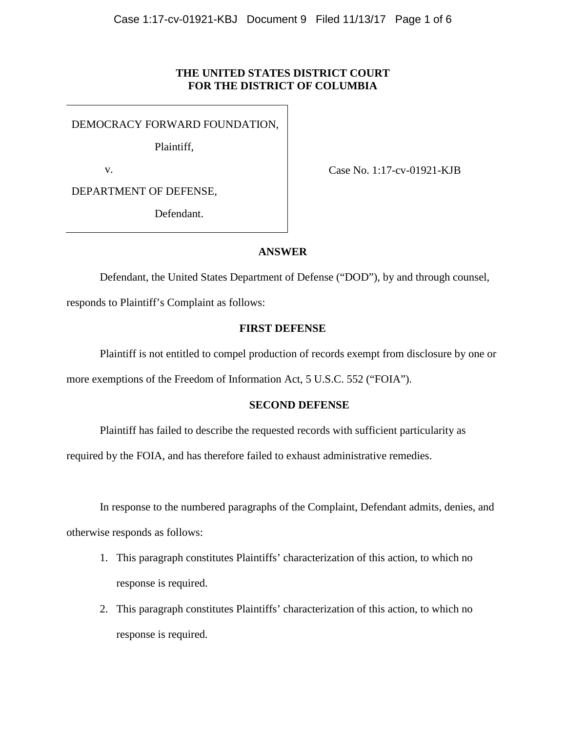## **THE UNITED STATES DISTRICT COURT FOR THE DISTRICT OF COLUMBIA**

DEMOCRACY FORWARD FOUNDATION,

Plaintiff,

v.

Case No. 1:17-cv-01921-KJB

DEPARTMENT OF DEFENSE,

Defendant.

### **ANSWER**

Defendant, the United States Department of Defense ("DOD"), by and through counsel,

responds to Plaintiff's Complaint as follows:

## **FIRST DEFENSE**

Plaintiff is not entitled to compel production of records exempt from disclosure by one or more exemptions of the Freedom of Information Act, 5 U.S.C. 552 ("FOIA").

### **SECOND DEFENSE**

Plaintiff has failed to describe the requested records with sufficient particularity as

required by the FOIA, and has therefore failed to exhaust administrative remedies.

In response to the numbered paragraphs of the Complaint, Defendant admits, denies, and

otherwise responds as follows:

- 1. This paragraph constitutes Plaintiffs' characterization of this action, to which no response is required.
- 2. This paragraph constitutes Plaintiffs' characterization of this action, to which no response is required.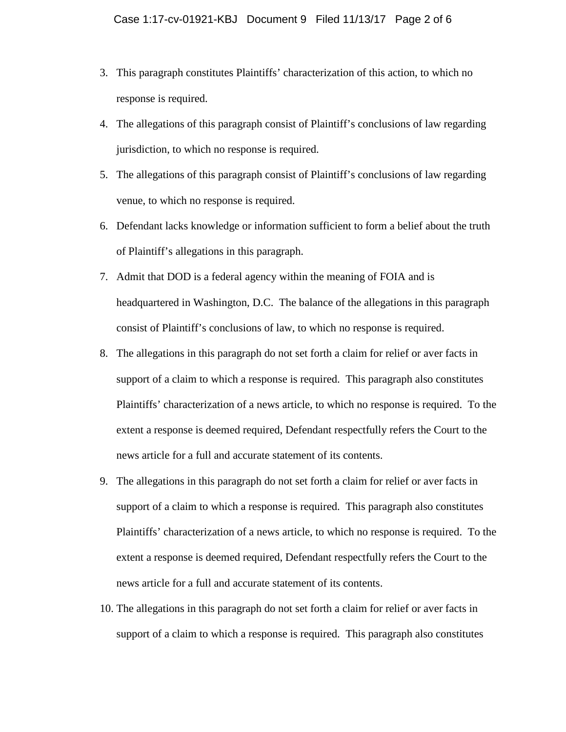- 3. This paragraph constitutes Plaintiffs' characterization of this action, to which no response is required.
- 4. The allegations of this paragraph consist of Plaintiff's conclusions of law regarding jurisdiction, to which no response is required.
- 5. The allegations of this paragraph consist of Plaintiff's conclusions of law regarding venue, to which no response is required.
- 6. Defendant lacks knowledge or information sufficient to form a belief about the truth of Plaintiff's allegations in this paragraph.
- 7. Admit that DOD is a federal agency within the meaning of FOIA and is headquartered in Washington, D.C. The balance of the allegations in this paragraph consist of Plaintiff's conclusions of law, to which no response is required.
- 8. The allegations in this paragraph do not set forth a claim for relief or aver facts in support of a claim to which a response is required. This paragraph also constitutes Plaintiffs' characterization of a news article, to which no response is required. To the extent a response is deemed required, Defendant respectfully refers the Court to the news article for a full and accurate statement of its contents.
- 9. The allegations in this paragraph do not set forth a claim for relief or aver facts in support of a claim to which a response is required. This paragraph also constitutes Plaintiffs' characterization of a news article, to which no response is required. To the extent a response is deemed required, Defendant respectfully refers the Court to the news article for a full and accurate statement of its contents.
- 10. The allegations in this paragraph do not set forth a claim for relief or aver facts in support of a claim to which a response is required. This paragraph also constitutes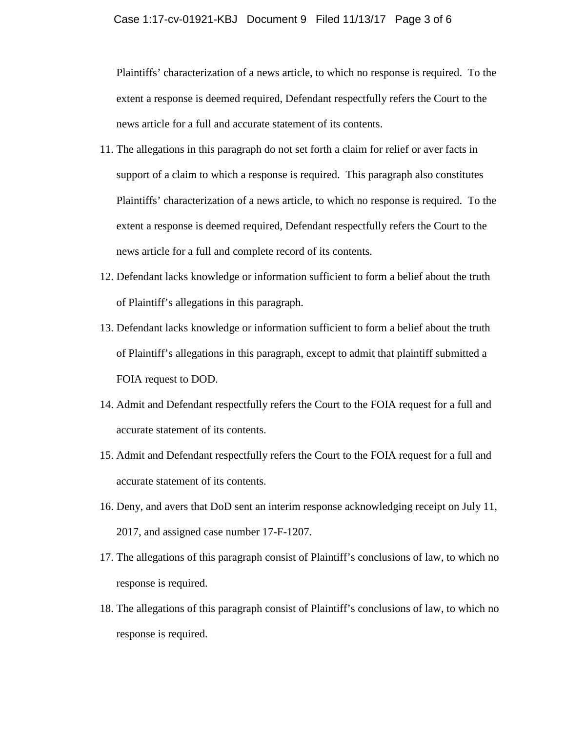Plaintiffs' characterization of a news article, to which no response is required. To the extent a response is deemed required, Defendant respectfully refers the Court to the news article for a full and accurate statement of its contents.

- 11. The allegations in this paragraph do not set forth a claim for relief or aver facts in support of a claim to which a response is required. This paragraph also constitutes Plaintiffs' characterization of a news article, to which no response is required. To the extent a response is deemed required, Defendant respectfully refers the Court to the news article for a full and complete record of its contents.
- 12. Defendant lacks knowledge or information sufficient to form a belief about the truth of Plaintiff's allegations in this paragraph.
- 13. Defendant lacks knowledge or information sufficient to form a belief about the truth of Plaintiff's allegations in this paragraph, except to admit that plaintiff submitted a FOIA request to DOD.
- 14. Admit and Defendant respectfully refers the Court to the FOIA request for a full and accurate statement of its contents.
- 15. Admit and Defendant respectfully refers the Court to the FOIA request for a full and accurate statement of its contents.
- 16. Deny, and avers that DoD sent an interim response acknowledging receipt on July 11, 2017, and assigned case number 17-F-1207.
- 17. The allegations of this paragraph consist of Plaintiff's conclusions of law, to which no response is required.
- 18. The allegations of this paragraph consist of Plaintiff's conclusions of law, to which no response is required.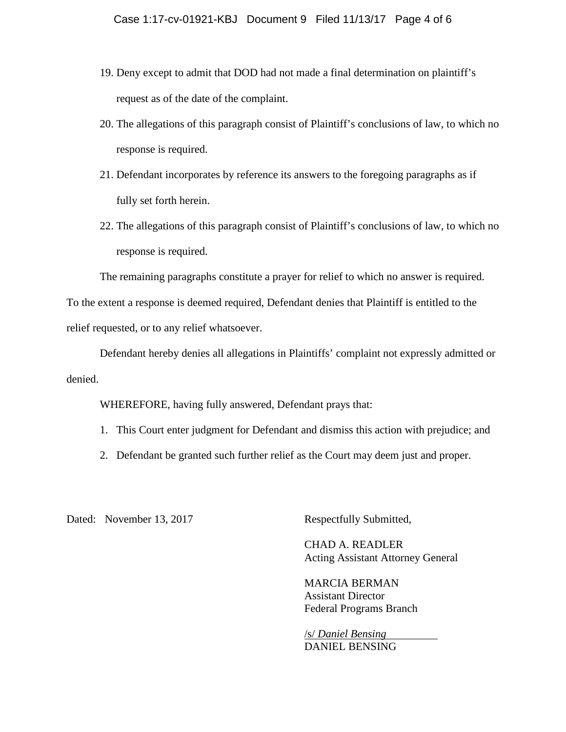- 19. Deny except to admit that DOD had not made a final determination on plaintiff's request as of the date of the complaint.
- 20. The allegations of this paragraph consist of Plaintiff's conclusions of law, to which no response is required.
- 21. Defendant incorporates by reference its answers to the foregoing paragraphs as if fully set forth herein.
- 22. The allegations of this paragraph consist of Plaintiff's conclusions of law, to which no response is required.

The remaining paragraphs constitute a prayer for relief to which no answer is required.

To the extent a response is deemed required, Defendant denies that Plaintiff is entitled to the relief requested, or to any relief whatsoever.

Defendant hereby denies all allegations in Plaintiffs' complaint not expressly admitted or denied.

WHEREFORE, having fully answered, Defendant prays that:

- 1. This Court enter judgment for Defendant and dismiss this action with prejudice; and
- 2. Defendant be granted such further relief as the Court may deem just and proper.

Dated: November 13, 2017 Respectfully Submitted,

CHAD A. READLER Acting Assistant Attorney General

MARCIA BERMAN Assistant Director Federal Programs Branch

/s/ *Daniel Bensing*  DANIEL BENSING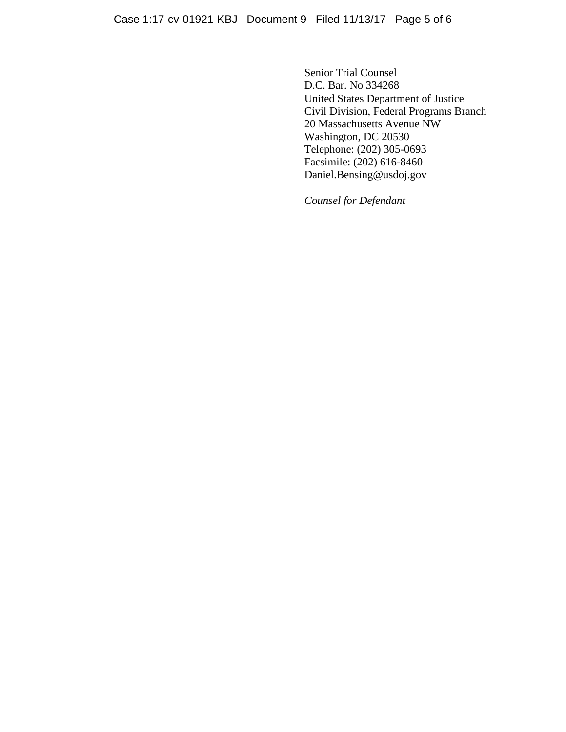Senior Trial Counsel D.C. Bar. No 334268 United States Department of Justice Civil Division, Federal Programs Branch 20 Massachusetts Avenue NW Washington, DC 20530 Telephone: (202) 305-0693 Facsimile: (202) 616-8460 Daniel.Bensing@usdoj.gov

*Counsel for Defendant*